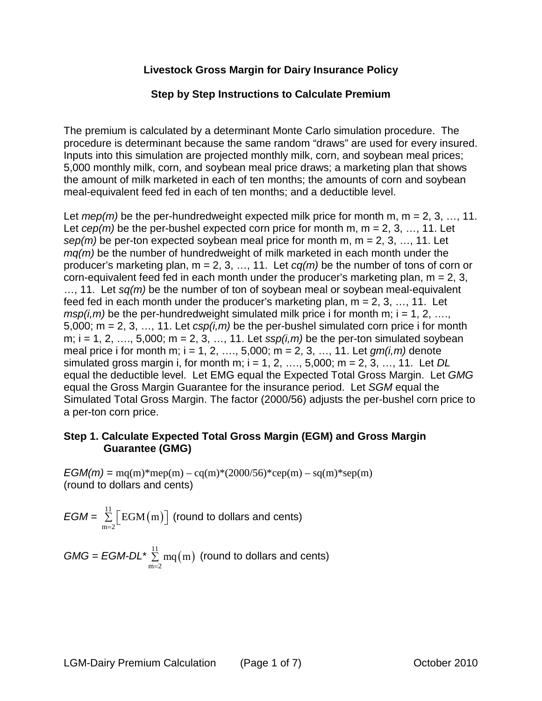## **Livestock Gross Margin for Dairy Insurance Policy**

#### **Step by Step Instructions to Calculate Premium**

The premium is calculated by a determinant Monte Carlo simulation procedure. The procedure is determinant because the same random "draws" are used for every insured. Inputs into this simulation are projected monthly milk, corn, and soybean meal prices; 5,000 monthly milk, corn, and soybean meal price draws; a marketing plan that shows the amount of milk marketed in each of ten months; the amounts of corn and soybean meal-equivalent feed fed in each of ten months; and a deductible level.

Let *mep(m)* be the per-hundredweight expected milk price for month m, m = 2, 3, ..., 11. Let  $cep(m)$  be the per-bushel expected corn price for month m, m = 2, 3, ..., 11. Let *sep(m)* be per-ton expected soybean meal price for month m, m = 2, 3, …, 11. Let *mq(m)* be the number of hundredweight of milk marketed in each month under the producer's marketing plan, m = 2, 3, …, 11. Let *cq(m)* be the number of tons of corn or corn-equivalent feed fed in each month under the producer's marketing plan,  $m = 2, 3$ , …, 11. Let *sq(m)* be the number of ton of soybean meal or soybean meal-equivalent feed fed in each month under the producer's marketing plan,  $m = 2, 3, ..., 11$ . Let  $msp(i,m)$  be the per-hundredweight simulated milk price i for month m;  $i = 1, 2, \ldots$ 5,000; m = 2, 3, ..., 11. Let  $csp(i,m)$  be the per-bushel simulated corn price i for month m;  $i = 1, 2, \ldots, 5,000$ ;  $m = 2, 3, \ldots, 11$ . Let  $ssp(i, m)$  be the per-ton simulated soybean meal price i for month m; i = 1, 2, …., 5,000; m = 2, 3, …, 11. Let *gm(i,m)* denote simulated gross margin i, for month m; i = 1, 2, …., 5,000; m = 2, 3, …, 11. Let *DL* equal the deductible level. Let EMG equal the Expected Total Gross Margin. Let *GMG* equal the Gross Margin Guarantee for the insurance period. Let *SGM* equal the Simulated Total Gross Margin. The factor (2000/56) adjusts the per-bushel corn price to a per-ton corn price.

#### **Step 1. Calculate Expected Total Gross Margin (EGM) and Gross Margin Guarantee (GMG)**

 $EGM(m) =$  mq(m)\*mep(m) – cq(m)\*(2000/56)\*cep(m) – sq(m)\*sep(m) (round to dollars and cents)

$$
EGM = \sum_{m=2}^{11} \left[ EGM(m) \right] \text{ (round to dollars and cents)}
$$

$$
GMG = EGM \cdot DL^* \sum_{m=2}^{11} mq(m)
$$
 (round to dollars and cents)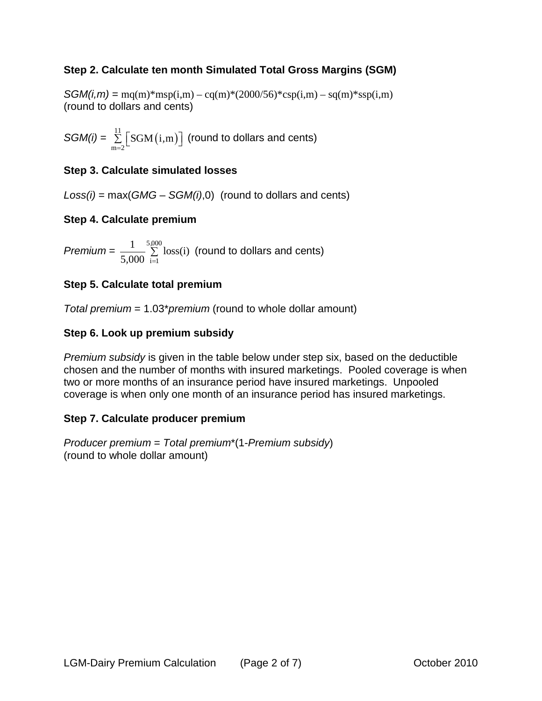# **Step 2. Calculate ten month Simulated Total Gross Margins (SGM)**

 $SGM(i,m) = \text{mq}(m) * \text{msp}(i,m) - \text{cq}(m) * (2000/56) * \text{csp}(i,m) - \text{sq}(m) * \text{ssp}(i,m)$ (round to dollars and cents)

*SGM(i)* =  $\sum_{i=1}^{11} \left[ SGM(i,m) \right]$  $m = 2$ SGM i m*,*  $\sum\limits_{\rm n=2}\bigr\lfloor{\rm SGM}\bigl(\rm i,m\bigr)\bigr\rfloor$  (round to dollars and cents)

## **Step 3. Calculate simulated losses**

*Loss(i)* = max(*GMG* – *SGM(i)*,0) (round to dollars and cents)

## **Step 4. Calculate premium**

*Premium* =  $\frac{1}{7,000}$   $\sum_{n=0}^{5,000}$  $\frac{1}{5,000}$ <sup>5,000</sup> loss(i)  $,000 =$  $\Sigma$  loss(i) (round to dollars and cents)

## **Step 5. Calculate total premium**

*Total premium* = 1.03\**premium* (round to whole dollar amount)

## **Step 6. Look up premium subsidy**

*Premium subsidy* is given in the table below under step six, based on the deductible chosen and the number of months with insured marketings. Pooled coverage is when two or more months of an insurance period have insured marketings. Unpooled coverage is when only one month of an insurance period has insured marketings.

#### **Step 7. Calculate producer premium**

*Producer premium* = *Total premium*\*(1-*Premium subsidy*) (round to whole dollar amount)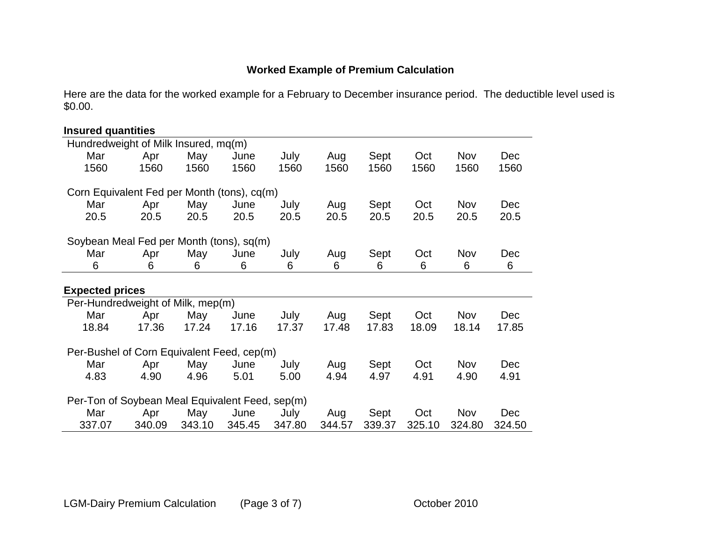# **Worked Example of Premium Calculation**

Here are the data for the worked example for a February to December insurance period. The deductible level used is \$0.00.

| <b>Insured quantities</b>                       |       |       |       |       |       |       |       |            |       |
|-------------------------------------------------|-------|-------|-------|-------|-------|-------|-------|------------|-------|
| Hundredweight of Milk Insured, mq(m)            |       |       |       |       |       |       |       |            |       |
| Mar                                             | Apr   | May   | June  | July  | Aug   | Sept  | Oct   | Nov        | Dec   |
| 1560                                            | 1560  | 1560  | 1560  | 1560  | 1560  | 1560  | 1560  | 1560       | 1560  |
| Corn Equivalent Fed per Month (tons), cq(m)     |       |       |       |       |       |       |       |            |       |
| Mar                                             | Apr   | May   | June  | July  | Aug   | Sept  | Oct   | <b>Nov</b> | Dec   |
| 20.5                                            | 20.5  | 20.5  | 20.5  | 20.5  | 20.5  | 20.5  | 20.5  | 20.5       | 20.5  |
| Soybean Meal Fed per Month (tons), sq(m)        |       |       |       |       |       |       |       |            |       |
| Mar                                             | Apr   | May   | June  | July  | Aug   | Sept  | Oct   | <b>Nov</b> | Dec   |
| 6                                               | 6     | 6     | 6     | 6     | 6     | 6     | 6     | 6          | 6     |
| <b>Expected prices</b>                          |       |       |       |       |       |       |       |            |       |
| Per-Hundredweight of Milk, mep(m)               |       |       |       |       |       |       |       |            |       |
| Mar                                             | Apr   | May   | June  | July  | Aug   | Sept  | Oct   | <b>Nov</b> | Dec   |
| 18.84                                           | 17.36 | 17.24 | 17.16 | 17.37 | 17.48 | 17.83 | 18.09 | 18.14      | 17.85 |
| Per-Bushel of Corn Equivalent Feed, cep(m)      |       |       |       |       |       |       |       |            |       |
| Mar                                             | Apr   | May   | June  | July  | Aug   | Sept  | Oct   | Nov        | Dec   |
| 4.83                                            | 4.90  | 4.96  | 5.01  | 5.00  | 4.94  | 4.97  | 4.91  | 4.90       | 4.91  |
| Per-Ton of Soybean Meal Equivalent Feed, sep(m) |       |       |       |       |       |       |       |            |       |
| Mar                                             | Apr   | May   | June  | July  | Aug   | Sept  | Oct   | Nov        | Dec   |
| 337.07                                          |       |       |       |       |       |       |       |            |       |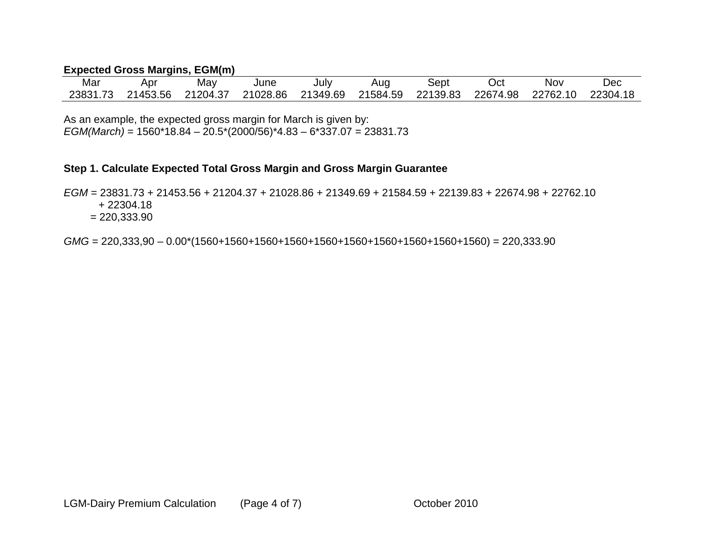## **Expected Gross Margins, EGM(m)**

| Mar      | Apr      | May      | June     | Julv     | Aug      | sept     | Oct      | Nov      | Dec      |
|----------|----------|----------|----------|----------|----------|----------|----------|----------|----------|
| 23831.73 | 21453.56 | 21204.37 | 21028.86 | 21349.69 | 21584.59 | 22139.83 | 22674.98 | 22762.10 | 22304.18 |

As an example, the expected gross margin for March is given by: *EGM(March)* = 1560\*18.84 – 20.5\*(2000/56)\*4.83 – 6\*337.07 = 23831.73

## **Step 1. Calculate Expected Total Gross Margin and Gross Margin Guarantee**

*EGM* = 23831.73 + 21453.56 + 21204.37 + 21028.86 + 21349.69 + 21584.59 + 22139.83 + 22674.98 + 22762.10 + 22304.18

 $= 220,333.90$ 

*GMG* = 220,333,90 – 0.00\*(1560+1560+1560+1560+1560+1560+1560+1560+1560+1560) = 220,333.90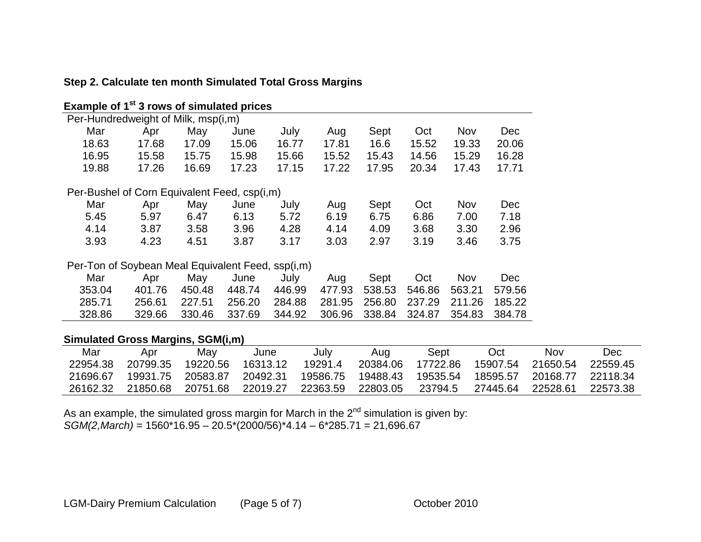| Example of 1 <sup>st</sup> 3 rows of simulated prices |        |        |        |        |        |        |        |        |            |
|-------------------------------------------------------|--------|--------|--------|--------|--------|--------|--------|--------|------------|
| Per-Hundredweight of Milk, msp(i,m)                   |        |        |        |        |        |        |        |        |            |
| Mar                                                   | Apr    | May    | June   | July   | Aug    | Sept   | Oct    | Nov    | <b>Dec</b> |
| 18.63                                                 | 17.68  | 17.09  | 15.06  | 16.77  | 17.81  | 16.6   | 15.52  | 19.33  | 20.06      |
| 16.95                                                 | 15.58  | 15.75  | 15.98  | 15.66  | 15.52  | 15.43  | 14.56  | 15.29  | 16.28      |
| 19.88                                                 | 17.26  | 16.69  | 17.23  | 17.15  | 17.22  | 17.95  | 20.34  | 17.43  | 17.71      |
| Per-Bushel of Corn Equivalent Feed, csp(i,m)          |        |        |        |        |        |        |        |        |            |
| Mar                                                   | Apr    | May    | June   | July   | Aug    | Sept   | Oct    | Nov    | <b>Dec</b> |
| 5.45                                                  | 5.97   | 6.47   | 6.13   | 5.72   | 6.19   | 6.75   | 6.86   | 7.00   | 7.18       |
| 4.14                                                  | 3.87   | 3.58   | 3.96   | 4.28   | 4.14   | 4.09   | 3.68   | 3.30   | 2.96       |
| 3.93                                                  | 4.23   | 4.51   | 3.87   | 3.17   | 3.03   | 2.97   | 3.19   | 3.46   | 3.75       |
| Per-Ton of Soybean Meal Equivalent Feed, ssp(i,m)     |        |        |        |        |        |        |        |        |            |
| Mar                                                   | Apr    | May    | June   | July   | Aug    | Sept   | Oct    | Nov    | <b>Dec</b> |
| 353.04                                                | 401.76 | 450.48 | 448.74 | 446.99 | 477.93 | 538.53 | 546.86 | 563.21 | 579.56     |
| 285.71                                                | 256.61 | 227.51 | 256.20 | 284.88 | 281.95 | 256.80 | 237.29 | 211.26 | 185.22     |
| 328.86                                                | 329.66 | 330.46 | 337.69 | 344.92 | 306.96 | 338.84 | 324.87 | 354.83 | 384.78     |

# **Step 2. Calculate ten month Simulated Total Gross Margins**

# **Simulated Gross Margins, SGM(i,m)**

| Mar      | Apr      | May      | June     | July     | Aug      | Sept     | Oct      | Nov               | Dec      |
|----------|----------|----------|----------|----------|----------|----------|----------|-------------------|----------|
| 22954.38 | 20799.35 | 19220.56 | 16313.12 | 19291.4  | 20384.06 | 17722.86 | 15907.54 | 21650.54          | 22559.45 |
| 21696.67 | 19931.75 | 20583.87 | 20492.31 | 19586.75 | 19488.43 | 19535.54 | 18595.57 | 20168.77 22118.34 |          |
| 26162.32 | 21850.68 | 20751.68 | 22019.27 | 22363.59 | 22803.05 | 23794.5  | 27445.64 | 22528.61          | 22573.38 |

As an example, the simulated gross margin for March in the 2<sup>nd</sup> simulation is given by: *SGM(2,March)* = 1560\*16.95 – 20.5\*(2000/56)\*4.14 – 6\*285.71 = 21,696.67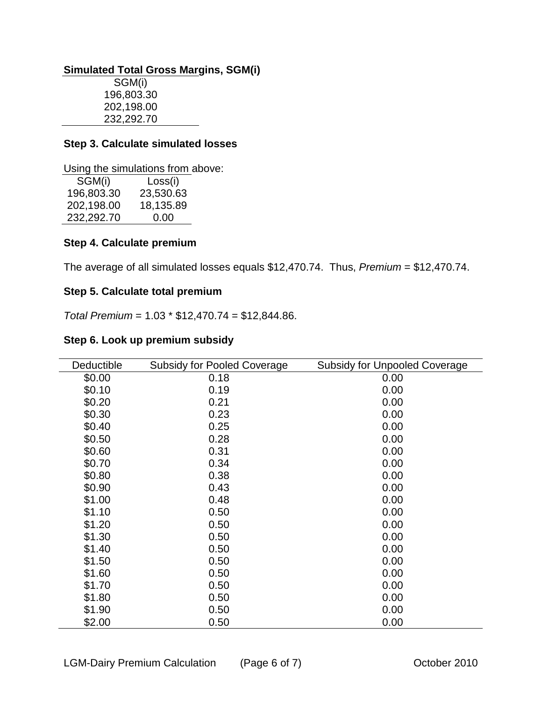#### **Simulated Total Gross Margins, SGM(i)**

SGM(i) 196,803.30 202,198.00 232,292.70

#### **Step 3. Calculate simulated losses**

Using the simulations from above:

| SGM(i)     | Loss(i)   |
|------------|-----------|
| 196,803.30 | 23,530.63 |
| 202,198.00 | 18,135.89 |
| 232,292.70 | 0.00      |

#### **Step 4. Calculate premium**

The average of all simulated losses equals \$12,470.74. Thus, *Premium* = \$12,470.74.

## **Step 5. Calculate total premium**

*Total Premium* = 1.03 \* \$12,470.74 = \$12,844.86.

#### **Step 6. Look up premium subsidy**

| Deductible | <b>Subsidy for Pooled Coverage</b> | <b>Subsidy for Unpooled Coverage</b> |
|------------|------------------------------------|--------------------------------------|
| \$0.00     | 0.18                               | 0.00                                 |
| \$0.10     | 0.19                               | 0.00                                 |
| \$0.20     | 0.21                               | 0.00                                 |
| \$0.30     | 0.23                               | 0.00                                 |
| \$0.40     | 0.25                               | 0.00                                 |
| \$0.50     | 0.28                               | 0.00                                 |
| \$0.60     | 0.31                               | 0.00                                 |
| \$0.70     | 0.34                               | 0.00                                 |
| \$0.80     | 0.38                               | 0.00                                 |
| \$0.90     | 0.43                               | 0.00                                 |
| \$1.00     | 0.48                               | 0.00                                 |
| \$1.10     | 0.50                               | 0.00                                 |
| \$1.20     | 0.50                               | 0.00                                 |
| \$1.30     | 0.50                               | 0.00                                 |
| \$1.40     | 0.50                               | 0.00                                 |
| \$1.50     | 0.50                               | 0.00                                 |
| \$1.60     | 0.50                               | 0.00                                 |
| \$1.70     | 0.50                               | 0.00                                 |
| \$1.80     | 0.50                               | 0.00                                 |
| \$1.90     | 0.50                               | 0.00                                 |
| \$2.00     | 0.50                               | 0.00                                 |